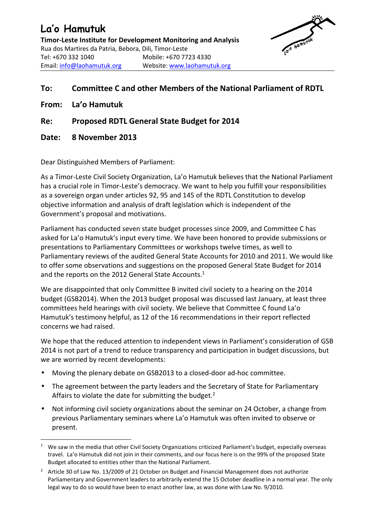## **La'o Hamutuk**

**Timor-Leste Institute for Development Monitoring and Analysis**  Rua dos Martires da Patria, Bebora, Dili, Timor-Leste Tel: +670 332 1040 Mobile: +670 7723 4330 Email: info@laohamutuk.org Website: www.laohamutuk.org

## **To: Committee C and other Members of the National Parliament of RDTL**

**From: La'o Hamutuk** 

l

- **Re: Proposed RDTL General State Budget for 2014**
- **Date: 8 November 2013**

Dear Distinguished Members of Parliament:

As a Timor-Leste Civil Society Organization, La'o Hamutuk believes that the National Parliament has a crucial role in Timor-Leste's democracy. We want to help you fulfill your responsibilities as a sovereign organ under articles 92, 95 and 145 of the RDTL Constitution to develop objective information and analysis of draft legislation which is independent of the Government's proposal and motivations.

Parliament has conducted seven state budget processes since 2009, and Committee C has asked for La'o Hamutuk's input every time. We have been honored to provide submissions or presentations to Parliamentary Committees or workshops twelve times, as well to Parliamentary reviews of the audited General State Accounts for 2010 and 2011. We would like to offer some observations and suggestions on the proposed General State Budget for 2014 and the reports on the 2012 General State Accounts.<sup>1</sup>

We are disappointed that only Committee B invited civil society to a hearing on the 2014 budget (GSB2014). When the 2013 budget proposal was discussed last January, at least three committees held hearings with civil society. We believe that Committee C found La'o Hamutuk's testimony helpful, as 12 of the 16 recommendations in their report reflected concerns we had raised.

We hope that the reduced attention to independent views in Parliament's consideration of GSB 2014 is not part of a trend to reduce transparency and participation in budget discussions, but we are worried by recent developments:

- Moving the plenary debate on GSB2013 to a closed-door ad-hoc committee.
- The agreement between the party leaders and the Secretary of State for Parliamentary Affairs to violate the date for submitting the budget.<sup>2</sup>
- Not informing civil society organizations about the seminar on 24 October, a change from previous Parliamentary seminars where La'o Hamutuk was often invited to observe or present.

<sup>&</sup>lt;sup>1</sup> We saw in the media that other Civil Society Organizations criticized Parliament's budget, especially overseas travel. La'o Hamutuk did not join in their comments, and our focus here is on the 99% of the proposed State Budget allocated to entities other than the National Parliament.

<sup>2</sup> Article 30 of Law No. 13/2009 of 21 October on Budget and Financial Management does not authorize Parliamentary and Government leaders to arbitrarily extend the 15 October deadline in a normal year. The only legal way to do so would have been to enact another law, as was done with Law No. 9/2010.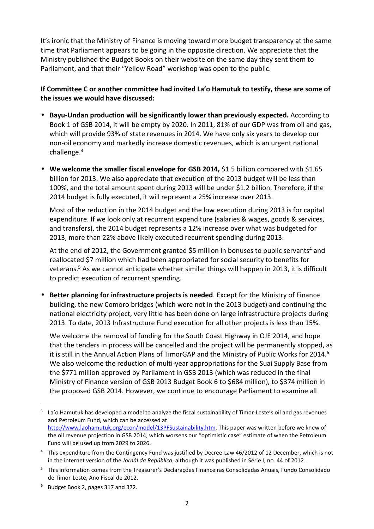It's ironic that the Ministry of Finance is moving toward more budget transparency at the same time that Parliament appears to be going in the opposite direction. We appreciate that the Ministry published the Budget Books on their website on the same day they sent them to Parliament, and that their "Yellow Road" workshop was open to the public.

## **If Committee C or another committee had invited La'o Hamutuk to testify, these are some of the issues we would have discussed:**

- **Bayu-Undan production will be significantly lower than previously expected.** According to Book 1 of GSB 2014, it will be empty by 2020. In 2011, 81% of our GDP was from oil and gas, which will provide 93% of state revenues in 2014. We have only six years to develop our non-oil economy and markedly increase domestic revenues, which is an urgent national challenge. $3$
- **We welcome the smaller fiscal envelope for GSB 2014,** \$1.5 billion compared with \$1.65 billion for 2013. We also appreciate that execution of the 2013 budget will be less than 100%, and the total amount spent during 2013 will be under \$1.2 billion. Therefore, if the 2014 budget is fully executed, it will represent a 25% increase over 2013.

Most of the reduction in the 2014 budget and the low execution during 2013 is for capital expenditure. If we look only at recurrent expenditure (salaries & wages, goods & services, and transfers), the 2014 budget represents a 12% increase over what was budgeted for 2013, more than 22% above likely executed recurrent spending during 2013.

At the end of 2012, the Government granted \$5 million in bonuses to public servants<sup>4</sup> and reallocated \$7 million which had been appropriated for social security to benefits for veterans.<sup>5</sup> As we cannot anticipate whether similar things will happen in 2013, it is difficult to predict execution of recurrent spending.

• **Better planning for infrastructure projects is needed**. Except for the Ministry of Finance building, the new Comoro bridges (which were not in the 2013 budget) and continuing the national electricity project, very little has been done on large infrastructure projects during 2013. To date, 2013 Infrastructure Fund execution for all other projects is less than 15%.

We welcome the removal of funding for the South Coast Highway in OJE 2014, and hope that the tenders in process will be cancelled and the project will be permanently stopped, as it is still in the Annual Action Plans of TimorGAP and the Ministry of Public Works for 2014.<sup>6</sup> We also welcome the reduction of multi-year appropriations for the Suai Supply Base from the \$771 million approved by Parliament in GSB 2013 (which was reduced in the final Ministry of Finance version of GSB 2013 Budget Book 6 to \$684 million), to \$374 million in the proposed GSB 2014. However, we continue to encourage Parliament to examine all

 $\overline{a}$ 

<sup>3</sup> La'o Hamutuk has developed a model to analyze the fiscal sustainability of Timor-Leste's oil and gas revenues and Petroleum Fund, which can be accessed at http://www.laohamutuk.org/econ/model/13PFSustainability.htm. This paper was written before we knew of the oil revenue projection in GSB 2014, which worsens our "optimistic case" estimate of when the Petroleum Fund will be used up from 2029 to 2026.

<sup>&</sup>lt;sup>4</sup> This expenditure from the Contingency Fund was justified by Decree-Law 46/2012 of 12 December, which is not in the internet version of the *Jornál da República*, although it was published in Série I, no. 44 of 2012.

<sup>5</sup> This information comes from the Treasurer's Declarações Financeiras Consolidadas Anuais, Fundo Consolidado de Timor-Leste, Ano Fiscal de 2012.

<sup>&</sup>lt;sup>6</sup> Budget Book 2, pages 317 and 372.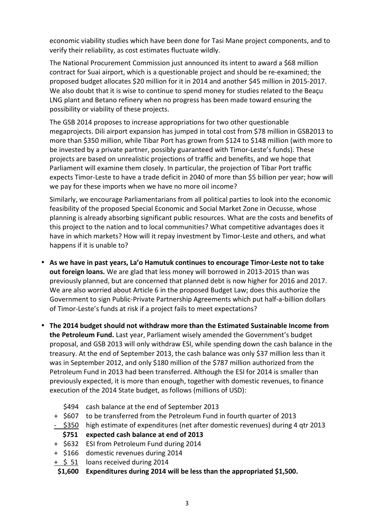economic viability studies which have been done for Tasi Mane project components, and to verify their reliability, as cost estimates fluctuate wildly.

The National Procurement Commission just announced its intent to award a \$68 million contract for Suai airport, which is a questionable project and should be re-examined; the proposed budget allocates \$20 million for it in 2014 and another \$45 million in 2015-2017. We also doubt that it is wise to continue to spend money for studies related to the Beaçu LNG plant and Betano refinery when no progress has been made toward ensuring the possibility or viability of these projects.

The GSB 2014 proposes to increase appropriations for two other questionable megaprojects. Dili airport expansion has jumped in total cost from \$78 million in GSB2013 to more than \$350 million, while Tibar Port has grown from \$124 to \$148 million (with more to be invested by a private partner, possibly guaranteed with Timor-Leste's funds). These projects are based on unrealistic projections of traffic and benefits, and we hope that Parliament will examine them closely. In particular, the projection of Tibar Port traffic expects Timor-Leste to have a trade deficit in 2040 of more than \$5 billion per year; how will we pay for these imports when we have no more oil income?

Similarly, we encourage Parliamentarians from all political parties to look into the economic feasibility of the proposed Special Economic and Social Market Zone in Oecusse, whose planning is already absorbing significant public resources. What are the costs and benefits of this project to the nation and to local communities? What competitive advantages does it have in which markets? How will it repay investment by Timor-Leste and others, and what happens if it is unable to?

- **As we have in past years, La'o Hamutuk continues to encourage Timor-Leste not to take out foreign loans.** We are glad that less money will borrowed in 2013-2015 than was previously planned, but are concerned that planned debt is now higher for 2016 and 2017. We are also worried about Article 6 in the proposed Budget Law; does this authorize the Government to sign Public-Private Partnership Agreements which put half-a-billion dollars of Timor-Leste's funds at risk if a project fails to meet expectations?
- **The 2014 budget should not withdraw more than the Estimated Sustainable Income from the Petroleum Fund.** Last year, Parliament wisely amended the Government's budget proposal, and GSB 2013 will only withdraw ESI, while spending down the cash balance in the treasury. At the end of September 2013, the cash balance was only \$37 million less than it was in September 2012, and only \$180 million of the \$787 million authorized from the Petroleum Fund in 2013 had been transferred. Although the ESI for 2014 is smaller than previously expected, it is more than enough, together with domestic revenues, to finance execution of the 2014 State budget, as follows (millions of USD):
	- \$494 cash balance at the end of September 2013
	- + \$607 to be transferred from the Petroleum Fund in fourth quarter of 2013
	- \$350 high estimate of expenditures (net after domestic revenues) during 4 qtr 2013
	- **\$751 expected cash balance at end of 2013**
	- + \$632 ESI from Petroleum Fund during 2014
	- + \$166 domestic revenues during 2014
	- $+$  \$ 51 loans received during 2014
	- **\$1,600 Expenditures during 2014 will be less than the appropriated \$1,500.**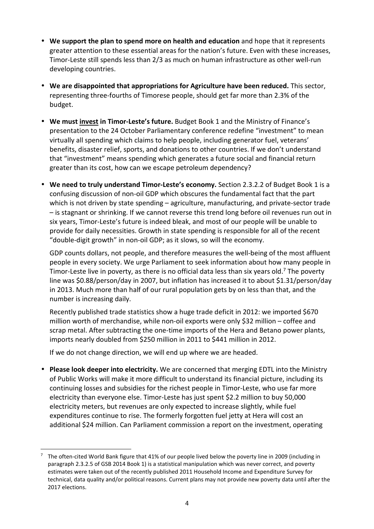- **We support the plan to spend more on health and education** and hope that it represents greater attention to these essential areas for the nation's future. Even with these increases, Timor-Leste still spends less than 2/3 as much on human infrastructure as other well-run developing countries.
- **We are disappointed that appropriations for Agriculture have been reduced.** This sector, representing three-fourths of Timorese people, should get far more than 2.3% of the budget.
- **We must invest in Timor-Leste's future.** Budget Book 1 and the Ministry of Finance's presentation to the 24 October Parliamentary conference redefine "investment" to mean virtually all spending which claims to help people, including generator fuel, veterans' benefits, disaster relief, sports, and donations to other countries. If we don't understand that "investment" means spending which generates a future social and financial return greater than its cost, how can we escape petroleum dependency?
- **We need to truly understand Timor-Leste's economy.** Section 2.3.2.2 of Budget Book 1 is a confusing discussion of non-oil GDP which obscures the fundamental fact that the part which is not driven by state spending – agriculture, manufacturing, and private-sector trade – is stagnant or shrinking. If we cannot reverse this trend long before oil revenues run out in six years, Timor-Leste's future is indeed bleak, and most of our people will be unable to provide for daily necessities. Growth in state spending is responsible for all of the recent "double-digit growth" in non-oil GDP; as it slows, so will the economy.

GDP counts dollars, not people, and therefore measures the well-being of the most affluent people in every society. We urge Parliament to seek information about how many people in Timor-Leste live in poverty, as there is no official data less than six years old.<sup>7</sup> The poverty line was \$0.88/person/day in 2007, but inflation has increased it to about \$1.31/person/day in 2013. Much more than half of our rural population gets by on less than that, and the number is increasing daily.

Recently published trade statistics show a huge trade deficit in 2012: we imported \$670 million worth of merchandise, while non-oil exports were only \$32 million – coffee and scrap metal. After subtracting the one-time imports of the Hera and Betano power plants, imports nearly doubled from \$250 million in 2011 to \$441 million in 2012.

If we do not change direction, we will end up where we are headed.

 $\overline{a}$ 

• **Please look deeper into electricity.** We are concerned that merging EDTL into the Ministry of Public Works will make it more difficult to understand its financial picture, including its continuing losses and subsidies for the richest people in Timor-Leste, who use far more electricity than everyone else. Timor-Leste has just spent \$2.2 million to buy 50,000 electricity meters, but revenues are only expected to increase slightly, while fuel expenditures continue to rise. The formerly forgotten fuel jetty at Hera will cost an additional \$24 million. Can Parliament commission a report on the investment, operating

<sup>7</sup>The often-cited World Bank figure that 41% of our people lived below the poverty line in 2009 (including in paragraph 2.3.2.5 of GSB 2014 Book 1) is a statistical manipulation which was never correct, and poverty estimates were taken out of the recently published 2011 Household Income and Expenditure Survey for technical, data quality and/or political reasons. Current plans may not provide new poverty data until after the 2017 elections.